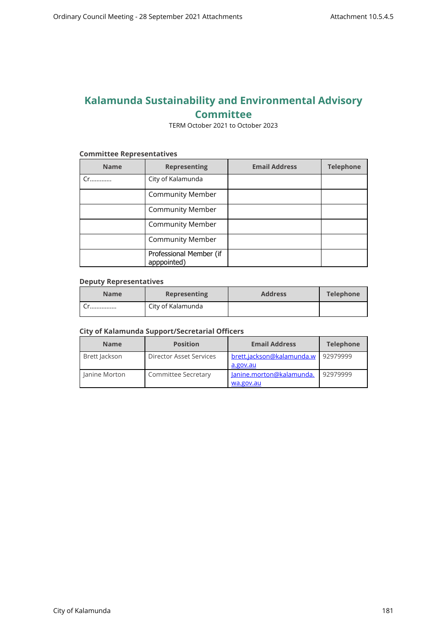# **Kalamunda Sustainability and Environmental Advisory Committee**

TERM October 2021 to October 2023

#### **Committee Representatives**

| <b>Name</b> | <b>Representing</b>                    | <b>Email Address</b> | <b>Telephone</b> |
|-------------|----------------------------------------|----------------------|------------------|
| Cr          | City of Kalamunda                      |                      |                  |
|             | <b>Community Member</b>                |                      |                  |
|             | <b>Community Member</b>                |                      |                  |
|             | <b>Community Member</b>                |                      |                  |
|             | <b>Community Member</b>                |                      |                  |
|             | Professional Member (if<br>apppointed) |                      |                  |

### **Deputy Representatives**

| <b>Name</b> | <b>Representing</b> | <b>Address</b> | <b>Telephone</b> |
|-------------|---------------------|----------------|------------------|
|             | City of Kalamunda   |                |                  |

## **City of Kalamunda Support/Secretarial Officers**

| <b>Name</b>     | <b>Position</b>         | <b>Email Address</b>                  | <b>Telephone</b> |
|-----------------|-------------------------|---------------------------------------|------------------|
| Brett Jackson   | Director Asset Services | brett.jackson@kalamunda.w<br>a.gov.au | 92979999         |
| l Janine Morton | Committee Secretary     | Janine.morton@kalamunda.<br>wa.gov.au | 92979999         |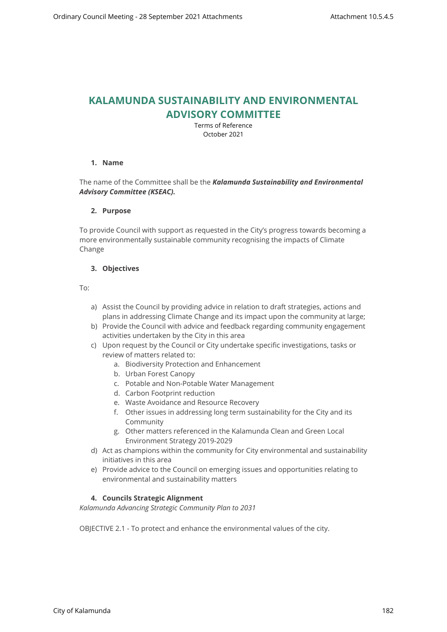# **KALAMUNDA SUSTAINABILITY AND ENVIRONMENTAL ADVISORY COMMITTEE**

Terms of Reference October 2021

## **1. Name**

## The name of the Committee shall be the *Kalamunda Sustainability and Environmental Advisory Committee (KSEAC).*

### **2. Purpose**

To provide Council with support as requested in the City's progress towards becoming a more environmentally sustainable community recognising the impacts of Climate Change

## **3. Objectives**

To:

- a) Assist the Council by providing advice in relation to draft strategies, actions and plans in addressing Climate Change and its impact upon the community at large;
- b) Provide the Council with advice and feedback regarding community engagement activities undertaken by the City in this area
- c) Upon request by the Council or City undertake specific investigations, tasks or review of matters related to:
	- a. Biodiversity Protection and Enhancement
	- b. Urban Forest Canopy
	- c. Potable and Non-Potable Water Management
	- d. Carbon Footprint reduction
	- e. Waste Avoidance and Resource Recovery
	- f. Other issues in addressing long term sustainability for the City and its Community
	- g. Other matters referenced in the Kalamunda Clean and Green Local Environment Strategy 2019-2029
- d) Act as champions within the community for City environmental and sustainability initiatives in this area
- e) Provide advice to the Council on emerging issues and opportunities relating to environmental and sustainability matters

## **4. Councils Strategic Alignment**

*Kalamunda Advancing Strategic Community Plan to 2031* 

OBJECTIVE 2.1 - To protect and enhance the environmental values of the city.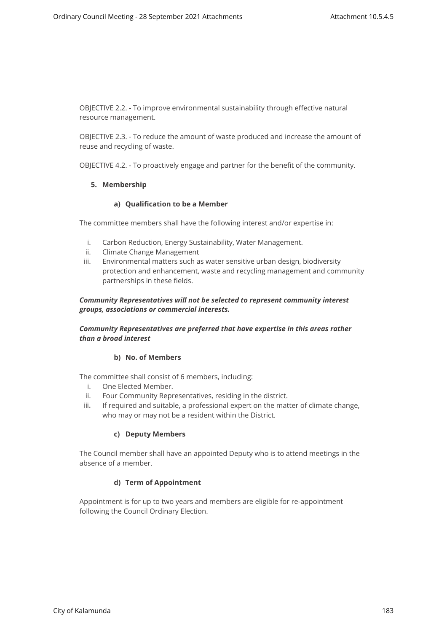OBJECTIVE 2.2. - To improve environmental sustainability through effective natural resource management.

OBJECTIVE 2.3. - To reduce the amount of waste produced and increase the amount of reuse and recycling of waste.

OBJECTIVE 4.2. - To proactively engage and partner for the benefit of the community.

#### **5. Membership**

### **a) Qualification to be a Member**

The committee members shall have the following interest and/or expertise in:

- i. Carbon Reduction, Energy Sustainability, Water Management.
- ii. Climate Change Management
- iii. Environmental matters such as water sensitive urban design, biodiversity protection and enhancement, waste and recycling management and community partnerships in these fields.

## *Community Representatives will not be selected to represent community interest groups, associations or commercial interests.*

## *Community Representatives are preferred that have expertise in this areas rather than a broad interest*

#### **b) No. of Members**

The committee shall consist of 6 members, including:

- i. One Elected Member.
- ii. Four Community Representatives, residing in the district.
- iii. If required and suitable, a professional expert on the matter of climate change, who may or may not be a resident within the District.

#### **c) Deputy Members**

The Council member shall have an appointed Deputy who is to attend meetings in the absence of a member.

## **d) Term of Appointment**

Appointment is for up to two years and members are eligible for re-appointment following the Council Ordinary Election.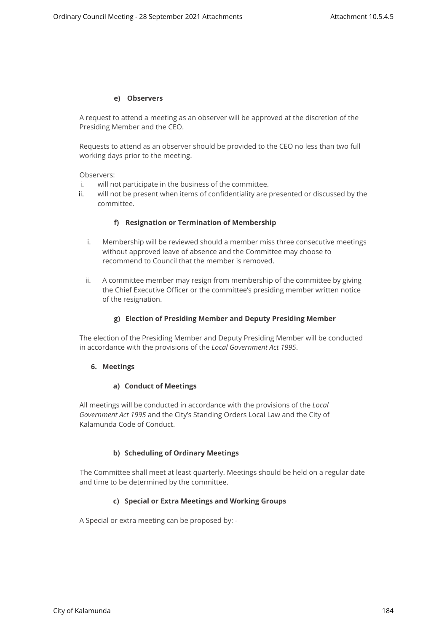### **e) Observers**

A request to attend a meeting as an observer will be approved at the discretion of the Presiding Member and the CEO.

Requests to attend as an observer should be provided to the CEO no less than two full working days prior to the meeting.

Observers:

- i. will not participate in the business of the committee.
- ii. will not be present when items of confidentiality are presented or discussed by the committee.

### **f) Resignation or Termination of Membership**

- i. Membership will be reviewed should a member miss three consecutive meetings without approved leave of absence and the Committee may choose to recommend to Council that the member is removed.
- ii. A committee member may resign from membership of the committee by giving the Chief Executive Officer or the committee's presiding member written notice of the resignation.

## **g) Election of Presiding Member and Deputy Presiding Member**

The election of the Presiding Member and Deputy Presiding Member will be conducted in accordance with the provisions of the *Local Government Act 1995*.

#### **6. Meetings**

#### **a) Conduct of Meetings**

All meetings will be conducted in accordance with the provisions of the *Local Government Act 1995* and the City's Standing Orders Local Law and the City of Kalamunda Code of Conduct.

## **b) Scheduling of Ordinary Meetings**

The Committee shall meet at least quarterly. Meetings should be held on a regular date and time to be determined by the committee.

#### **c) Special or Extra Meetings and Working Groups**

A Special or extra meeting can be proposed by: -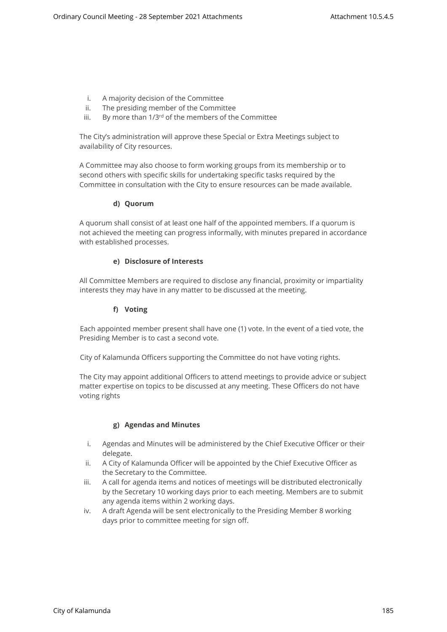- i. A majority decision of the Committee
- ii. The presiding member of the Committee
- iii. By more than 1/3<sup>rd</sup> of the members of the Committee

The City's administration will approve these Special or Extra Meetings subject to availability of City resources.

A Committee may also choose to form working groups from its membership or to second others with specific skills for undertaking specific tasks required by the Committee in consultation with the City to ensure resources can be made available.

# **d) Quorum**

A quorum shall consist of at least one half of the appointed members. If a quorum is not achieved the meeting can progress informally, with minutes prepared in accordance with established processes.

# **e) Disclosure of Interests**

All Committee Members are required to disclose any financial, proximity or impartiality interests they may have in any matter to be discussed at the meeting.

# **f) Voting**

Each appointed member present shall have one (1) vote. In the event of a tied vote, the Presiding Member is to cast a second vote.

City of Kalamunda Officers supporting the Committee do not have voting rights.

The City may appoint additional Officers to attend meetings to provide advice or subject matter expertise on topics to be discussed at any meeting. These Officers do not have voting rights

## **g) Agendas and Minutes**

- i. Agendas and Minutes will be administered by the Chief Executive Officer or their delegate.
- ii. A City of Kalamunda Officer will be appointed by the Chief Executive Officer as the Secretary to the Committee.
- iii. A call for agenda items and notices of meetings will be distributed electronically by the Secretary 10 working days prior to each meeting. Members are to submit any agenda items within 2 working days.
- iv. A draft Agenda will be sent electronically to the Presiding Member 8 working days prior to committee meeting for sign off.